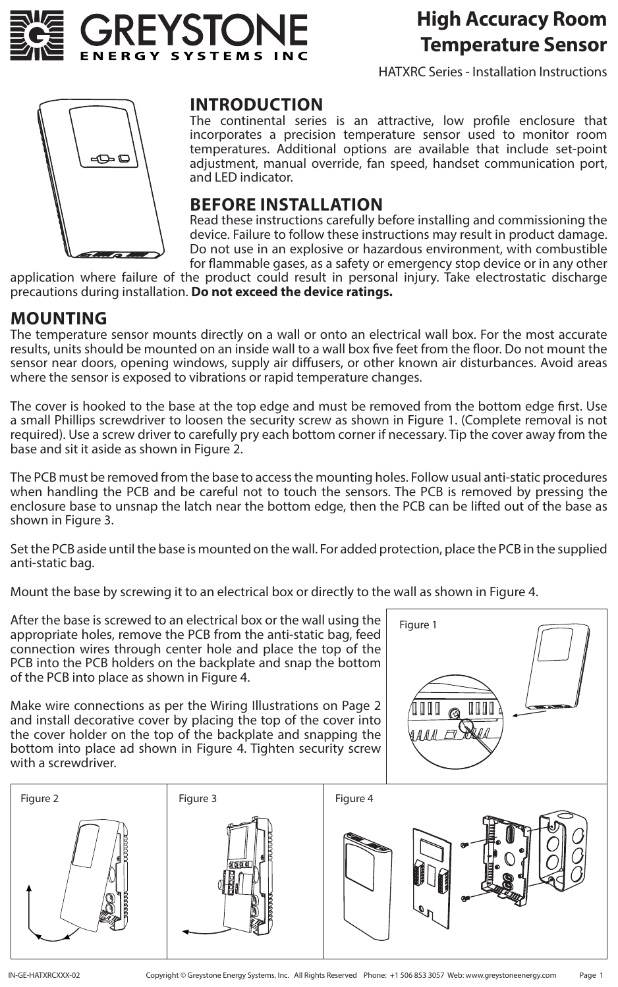

### **High Accuracy Room Temperature Sensor**

HATXRC Series - Installation Instructions



#### **INTRODUCTION**

The continental series is an attractive, low profile enclosure that incorporates a precision temperature sensor used to monitor room temperatures. Additional options are available that include set-point adjustment, manual override, fan speed, handset communication port, and LED indicator.

#### **BEFORE INSTALLATION**

Read these instructions carefully before installing and commissioning the device. Failure to follow these instructions may result in product damage. Do not use in an explosive or hazardous environment, with combustible for flammable gases, as a safety or emergency stop device or in any other

application where failure of the product could result in personal injury. Take electrostatic discharge precautions during installation. **Do not exceed the device ratings.**

#### **MOUNTING**

The temperature sensor mounts directly on a wall or onto an electrical wall box. For the most accurate results, units should be mounted on an inside wall to a wall box five feet from the floor. Do not mount the sensor near doors, opening windows, supply air diffusers, or other known air disturbances. Avoid areas where the sensor is exposed to vibrations or rapid temperature changes.

The cover is hooked to the base at the top edge and must be removed from the bottom edge first. Use a small Phillips screwdriver to loosen the security screw as shown in Figure 1. (Complete removal is not required). Use a screw driver to carefully pry each bottom corner if necessary. Tip the cover away from the base and sit it aside as shown in Figure 2.

The PCB must be removed from the base to access the mounting holes. Follow usual anti-static procedures when handling the PCB and be careful not to touch the sensors. The PCB is removed by pressing the enclosure base to unsnap the latch near the bottom edge, then the PCB can be lifted out of the base as shown in Figure 3.

Set the PCB aside until the base is mounted on the wall. For added protection, place the PCB in the supplied anti-static bag.

Mount the base by screwing it to an electrical box or directly to the wall as shown in Figure 4.

After the base is screwed to an electrical box or the wall using the appropriate holes, remove the PCB from the anti-static bag, feed connection wires through center hole and place the top of the PCB into the PCB holders on the backplate and snap the bottom of the PCB into place as shown in Figure 4.

Make wire connections as per the Wiring Illustrations on Page 2 and install decorative cover by placing the top of the cover into the cover holder on the top of the backplate and snapping the bottom into place ad shown in Figure 4. Tighten security screw with a screwdriver.



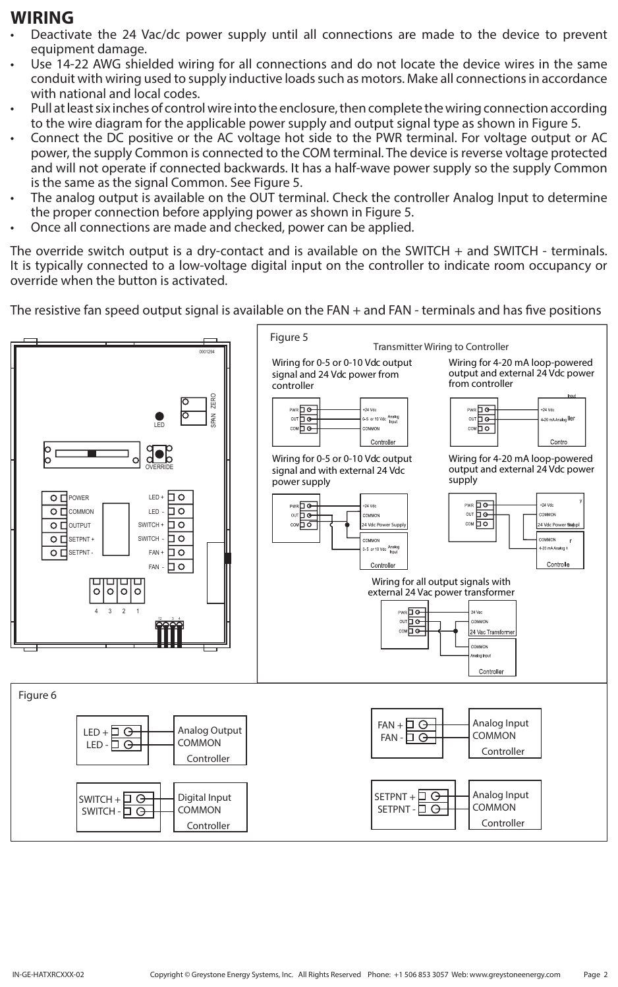### **WIRING**

- Deactivate the 24 Vac/dc power supply until all connections are made to the device to prevent equipment damage.
- Use 14-22 AWG shielded wiring for all connections and do not locate the device wires in the same conduit with wiring used to supply inductive loads such as motors. Make all connections in accordance with national and local codes.
- Pull at least six inches of control wire into the enclosure, then complete the wiring connection according to the wire diagram for the applicable power supply and output signal type as shown in Figure 5.
- Connect the DC positive or the AC voltage hot side to the PWR terminal. For voltage output or AC power, the supply Common is connected to the COM terminal. The device is reverse voltage protected and will not operate if connected backwards. It has a half-wave power supply so the supply Common is the same as the signal Common. See Figure 5.
- The analog output is available on the OUT terminal. Check the controller Analog Input to determine the proper connection before applying power as shown in Figure 5.
- Once all connections are made and checked, power can be applied.

The override switch output is a dry-contact and is available on the SWITCH + and SWITCH - terminals. It is typically connected to a low-voltage digital input on the controller to indicate room occupancy or override when the button is activated.

The resistive fan speed output signal is available on the FAN + and FAN - terminals and has five positions